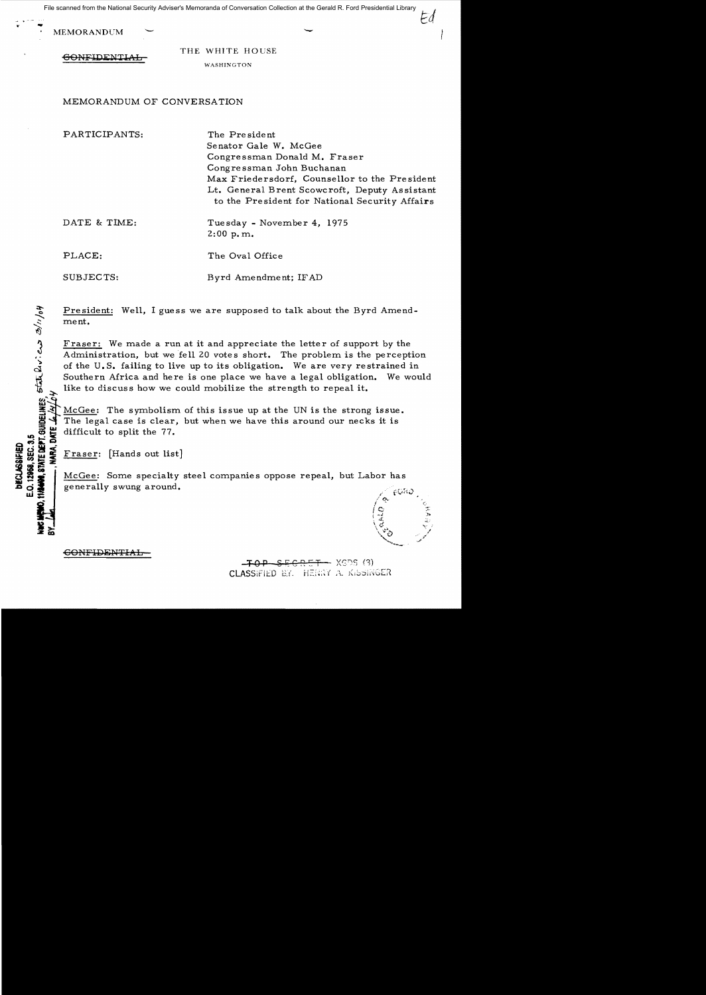File scanned from the National Security Adviser's Memoranda of Conversation Collection at the Gerald R. Ford Presidential Library

MEMORANDUM

CONFIDENTI

THE WHITE HOUSE WASHINGTON

MEMORANDUM OF CONVERSATION

PARTICIPANTS: The President Senator Gale W. McGee Congressman Donald M. Fraser Congressman John Buchanan Max Friedersdorf, Counsellor to the President Lt. General Brent Scowcroft, Deputy Assistant to the President for National Security Affairs DATE & TIME: Tuesday - November 4, 1975 2:00 p.m.

PLACE: The Oval Office

 $\boldsymbol{\kappa} \subseteq \boldsymbol{\widetilde{\kappa}}$ 

 $\ddot{\bm{\omega}}$   $\ddot{\bm{\omega}}$   $\bm{z}$   $\bm{z}$ 

SUBJECTS: Byrd Amendment; IFAD

<u>President:</u> Well, I guess we are supposed to talk about the Byrd Amend-:ment.

Fraser: We made a run at it and appreciate the letter of support by the Administration, but we fell 20 votes short. The problem is the perception of the U.S. failing to live up to its obligation. We are very restrained in Southern Africa and here is one place we have a legal obligation. We would like to discuss how we could mobilize the strength to repeal it.

 $McGe:$  The symbolism of this issue up at the UN is the strong issue. The legal case is clear, but when we have this around our necks it is difficult to split the 77.

a x d 2 - $\mathbf{F}_{\mathbf{B}}$   $\mathbf{G}_{\mathbf{B}}$   $\mathbf{F}_{\mathbf{B}}$   $\mathbf{F}_{\mathbf{B}}$   $\mathbf{F}_{\mathbf{B}}$  [Hands out list]

 $\begin{array}{ll}\n\text{Hence} & \text{Hence} \\
\text{Hence} & \text{Hence} \\
\text{Hence} & \text{Hence} \\
\text{Hence} & \text{Hence} \\
\text{Hence} & \text{Hence} \\
\text{Hence} & \text{Hence} \\
\text{Hence} & \text{Hence} \\
\text{Hence} & \text{Hence} \\
\text{Hence} & \text{Hence} \\
\text{Hence} & \text{Hence} \\
\text{Hence} & \text{Hence} \\
\text{Hence} & \text{Hence} \\
\text{Hence} & \text{Hence} \\
\text{Hence} & \text{Hence} \\
\text{Hence} & \text{Hence} \\
\text{$ generally swung around.

 $\epsilon$ ONFIDENTIAL

— XGDS (3) CLASSIFIED BY. HENRY A. KISSINGER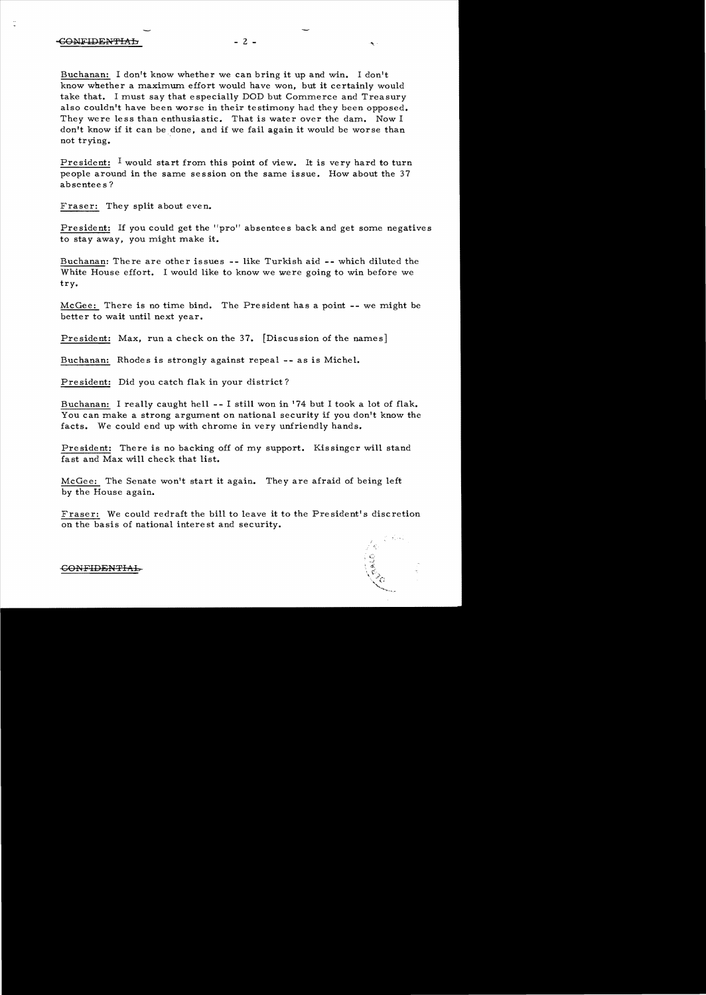Buchanan: I don't know whether we can bring it up and win. I don't know whether a maximum effort would have won, but it certainly would take that. I must say that especially DOD but Commerce and Treasury also couldn't have been worse in their testimony had they been opposed. They were less than enthusiastic. That is water over the dam. Now I don't know if it can be done, and if we fail again it would be worse than not trying.

President: I would start from this point of view. It is very hard to turn people around in the same session on the same issue. How about the 37 absentee s?

Fraser: They split about even.

President: If you could get the "pro" absentees back and get some negatives to stay away, you might make it.

Buchanan: There are other issues -- like Turkish aid -- which diluted the White House effort. I would like to know we were going to win before we try.

McGee: There is no time bind. The President has a point -- we might be better to wait until next year.

President: Max, run a check on the 37. [Discussion of the names]

Buchanan: Rhodes is strongly against repeal -- as is Michel.

President: Did you catch flak in your district?

Buchanan: I really caught hell - - I still won in '74 but I took a lot of flak. You can make a strong argument on national security if you don't know the facts. We could end up with chrome in very unfriendly hands.

President: There is no backing off of *my* support. Kissinger will stand fast and Max will check that list.

McGee: The Senate won't start it again. They are afraid of being left by the House again.

Fraser: We could redraft the bill to leave it to the President's discretion on the basis of national intere st and security.



GONFIDENTIAL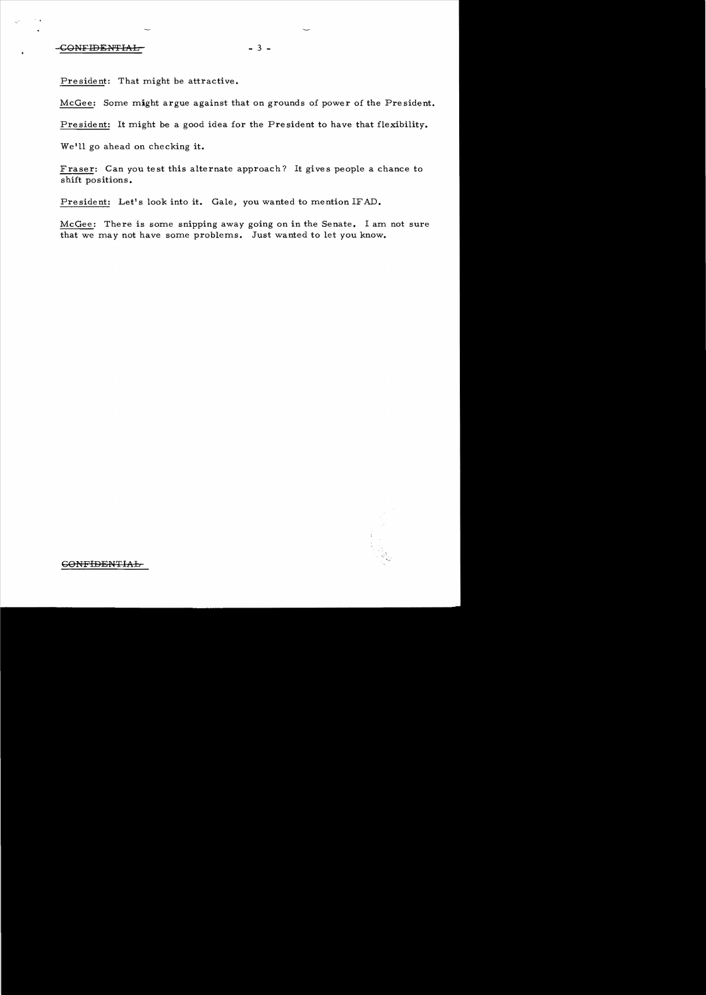## -CONFIDENTIAL-<br>-3 -

President: That might be attractive.

McGee: Some might argue against that on grounds of power of the President.

President: It might be a good idea for the President to have that flexibility.

Weill go ahead on checking **it.** 

Fraser: Can you test this alternate approach? It gives people a chance to shift positions.

President: Let's look into it. Gale, you wanted to mention IFAD.

McGee: There is some snipping away going on in the Senate. I am not sure that we may not have some problems. Just wanted to let you know.



GONFIDENTIAL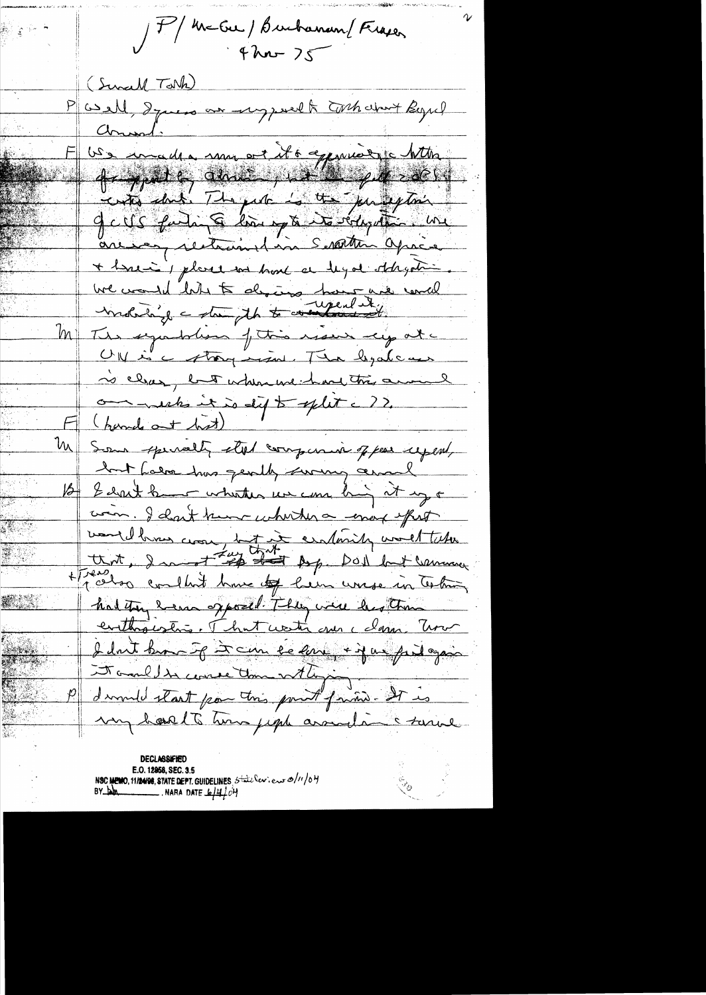P/MEGU/Burbaran/Frager (Sunall Tark) well, I guess are respond to the dart Begind arment US availle mon et its appareire http 4-grad en anne 111 par 2001 geits fuling liney & to dyste me are en restaurant in Serattin après + here is placed we have a legal obligation. We would like to drains how we will The symbolism of this receive eye at a  $ln$ UN is a strong mesure The legalement no clear, but when we had this amount omments it is dift split a ?? (hand at hot)  $\frac{\partial u}{\partial x}$ Some spenalty stol companies of pour uponly but Labor has gently suring around 16 Ednis hammer whether we can being it up a wan. I clark know whether a enough offert vouldens come tot it entering word take had they have opposed They were her than evitting estres. That water can celaron trois I don't know if I can be known + if a fail again Mondels course donne dit pois my hast to time juga assault a saine

**DECLASSIFIED** E.O. 12958, SEC. 3.5 NSC MEMO, 11/24/98, STATE DEPT. GUIDELINES  $5\frac{1}{4}$ le Cent. euro $2/11/6$ H<br>BY Dan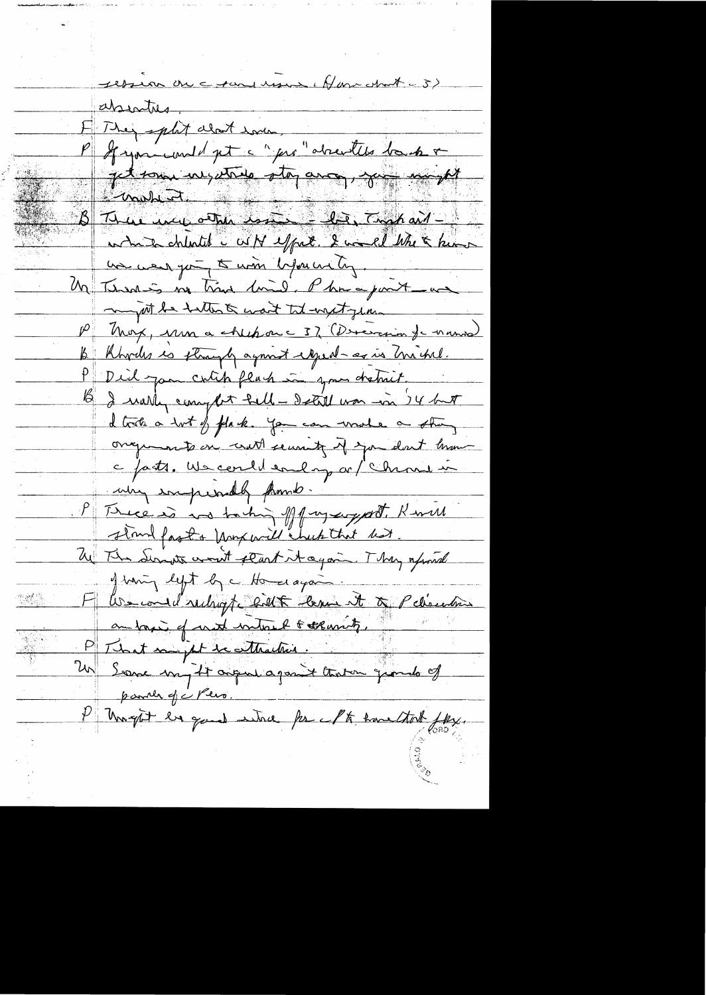ression on c tanguera (Have Nort - 5) absentes.<br>E They split about Loven.<br>P If you would get a "per" absentes long & Jetrain with the and mint which chinted WH effect. I would like a know us were going to win before un tog. M Termes no time lined. Phrapart an might be tallents want tol unatgen. P Mox, non a chepon c 37 (Devereion for name) B Rhodes is strangly against eigenbar as in michel. P Did jon culch flach in your detroit. B I wally complet fell - Detail was in 14 but d trite a tot of plack. You can wrote a strong ongements on court security of you don't know c fatts. We could end my or / Chrone in why imprintly framb. P Trece is no taking off my support. Remell sland fast & Marxwell chuck that hat. We This Series won't start it again. They afraid of wing left by a Homer again. F les conductions de le court de Pelisentine I tranght he good when for Math have that fly.